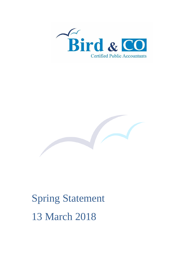



# Spring Statement 13 March 2018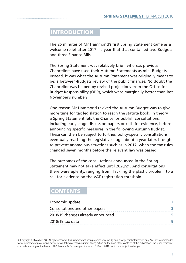# **INTRODUCTION**

The 25 minutes of Mr Hammond's first Spring Statement came as a welcome relief after 2017 – a year that that contained two Budgets and three Finance Bills.

The Spring Statement was relatively brief, whereas previous Chancellors have used their Autumn Statements as mini-Budgets. Instead, it was what the Autumn Statement was originally meant to be: a between-Budgets review of the public finances. No doubt the Chancellor was helped by revised projections from the Office for Budget Responsibility (OBR), which were marginally better than last November's numbers.

One reason Mr Hammond revived the Autumn Budget was to give more time for tax legislation to reach the statute book. In theory, a Spring Statement lets the Chancellor publish consultations, including early-stage discussion papers or calls for evidence, before announcing specific measures in the following Autumn Budget. These can then be subject to further, policy-specific consultations, eventually reaching the legislative stage about a year later. It ought to prevent anomalous situations such as in 2017, when the tax rules changed seven months before the relevant law was passed.

The outcomes of the consultations announced in the Spring Statement may not take effect until 2020/21. And consultations there were aplenty, ranging from 'Tackling the plastic problem' to a call for evidence on the VAT registration threshold.

# **CONTENTS**

| Economic update                   |  |
|-----------------------------------|--|
| Consultations and other papers    |  |
| 2018/19 changes already announced |  |
| 2018/19 tax data                  |  |

© Copyright 13 March 2018. All rights reserved. This summary has been prepared very rapidly and is for general information only. You are recommended to seek competent professional advice before taking or refraining from taking action on the basis of the contents of this publication. The guide represents our understanding of the law and HM Revenue & Customs practice as at 13 March 2018, which are subject to change.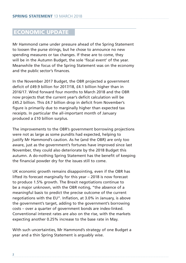# ECONOMIC UPDATE

Mr Hammond came under pressure ahead of the Spring Statement to loosen the purse strings, but he chose to announce no new spending measures or tax changes. If these are to come, they will be in the Autumn Budget, the sole 'fiscal event' of the year. Meanwhile the focus of the Spring Statement was on the economy and the public sector's finances.

In the November 2017 Budget, the OBR projected a government deficit of £49.9 billion for 2017/18, £4.1 billion higher than in 2016/17. Wind forward four months to March 2018 and the OBR now projects that the current year's deficit calculation will be £45.2 billion. This £4.7 billion drop in deficit from November's figure is primarily due to marginally higher than expected tax receipts. In particular the all-important month of January produced a £10 billion surplus.

The improvements to the OBR's government borrowing projections were not as large as some pundits had expected, helping to justify Mr Hammond's caution. As he (and the OBR) are only too aware, just as the government's fortunes have improved since last November, they could also deteriorate by the 2018 Budget this autumn. A do-nothing Spring Statement has the benefit of keeping the financial powder dry for the issues still to come.

UK economic growth remains disappointing, even if the OBR has lifted its forecast marginally for this year – 2018 is now forecast to produce 1.5% growth. The Brexit negotiations continue to be a major unknown, with the OBR noting, "the absence of a meaningful basis to predict the precise outcome of the current negotiations with the EU". Inflation, at 3.0% in January, is above the government's target, adding to the government's borrowing costs – over a quarter of government bonds are index-linked. Conventional interest rates are also on the rise, with the markets expecting another 0.25% increase to the base rate in May.

With such uncertainties, Mr Hammond's strategy of one Budget a year and a thin Spring Statement is arguably wise.

**2**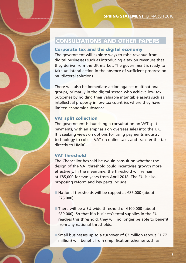# CONSULTATIONS AND OTHER PAPERS

#### Corporate tax and the digital economy

The government will explore ways to raise revenue from digital businesses such as introducing a tax on revenues that they derive from the UK market. The government is ready to take unilateral action in the absence of sufficient progress on multilateral solutions.

There will also be immediate action against multinational groups, primarily in the digital sector, who achieve low-tax outcomes by holding their valuable intangible assets such as intellectual property in low-tax countries where they have limited economic substance.

## VAT split collection

The government is launching a consultation on VAT split payments, with an emphasis on overseas sales into the UK. It is seeking views on options for using payments industry technology to collect VAT on online sales and transfer the tax directly to HMRC.

## VAT threshold

The Chancellor has said he would consult on whether the design of the VAT threshold could incentivise growth more effectively. In the meantime, the threshold will remain at £85,000 for two years from April 2018. The EU is also proposing reform and key parts include:

- National thresholds will be capped at €85,000 (about £75,000).
- There will be a EU-wide threshold of €100,000 (about £89,000). So that if a business's total supplies in the EU reaches this threshold, they will no longer be able to benefit from any national thresholds.

■ Small businesses up to a turnover of  $€2$  million (about £1.77 million) will benefit from simplification schemes such as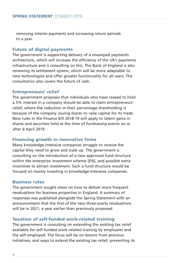removing interim payments and increasing return periods to a year.

#### Future of digital payments

The government is supporting delivery of a revamped payments architecture, which will increase the efficiency of the UK's payments infrastructure and is consulting on this. The Bank of England is also renewing its settlement system, which will be more adaptable to new technologies and offer greater functionality for all users. The consultation also covers the future of cash.

#### Entrepreneurs' relief

The government proposes that individuals who have ceased to hold a 5% interest in a company should be able to claim entrepreneurs' relief, where the reduction in their percentage shareholding is because of the company issuing shares to raise capital for its trade. New rules in the Finance Bill 2018-19 will apply to latent gains in shares and securities held at the time of fundraising events on or after 6 April 2019.

#### Financing growth in innovative firms

Many knowledge-intensive companies struggle to receive the capital they need to grow and scale up. The government is consulting on the introduction of a new approved fund structure within the enterprise investment scheme (EIS), and possible extra incentives to attract investment. Such a fund structure would be focused on mainly investing in knowledge-intensive companies.

## Business rates

The government sought views on how to deliver more frequent revaluations for business properties in England. A summary of responses was published alongside the Spring Statement with an announcement that the first of the new three-yearly revaluations will be in 2021, a year earlier than previously proposed.

#### Taxation of self-funded work-related training

The government is consulting on extending the existing tax relief available for self-funded work-related training by employees and the self-employed. The focus will be on lessons from previous initiatives, and ways to extend the existing tax relief, preventing its

**4**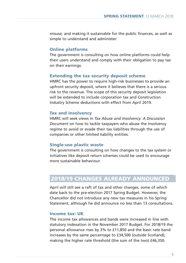misuse, and making it sustainable for the public finances, as well as simple to understand and administer.

#### Online platforms

The government is consulting on how online platforms could help their users understand and comply with their obligation to pay tax on their earnings.

#### Extending the tax security deposit scheme

HMRC has the power to require high-risk businesses to provide an upfront security deposit, where it believes that there is a serious risk to the revenue. The scope of this security deposit legislation will be extended to include corporation tax and Construction Industry Scheme deductions with effect from April 2019.

#### Tax and insolvency

HMRC will seek views in *Tax Abuse and Insolvency: A Discussion Document* on how to tackle taxpayers who abuse the insolvency regime to avoid or evade their tax liabilities through the use of companies or other limited liability entities.

#### Single-use plastic waste

The government is consulting on how changes to the tax system or initiatives like deposit return schemes could be used to encourage more sustainable behaviour.

# 2018/19 CHANGES ALREADY ANNOUNCED

April will still see a raft of tax and other changes, some of which date back to the pre-election 2017 Spring Budget. However, the Chancellor did not introduce any new tax measures in his Spring Statement, although he did announce no less than 13 consultations.

#### Income tax: UK

The income tax allowances and bands were increased in line with statutory indexation in the November 2017 Budget. For 2018/19 the personal allowance rises by 3% to £11,850 and the basic rate band increases by the same percentage to £34,500 (outside Scotland), making the higher rate threshold (the sum of the two) £46,350.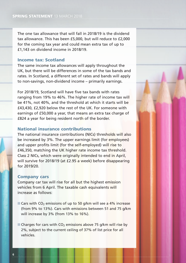The one tax allowance that will fall in 2018/19 is the dividend tax allowance. This has been £5,000, but will reduce to £2,000 for the coming tax year and could mean extra tax of up to £1,143 on dividend income in 2018/19.

#### Income tax: Scotland

The same income tax allowances will apply throughout the UK, but there will be differences in some of the tax bands and rates. In Scotland, a different set of rates and bands will apply to non-savings, non-dividend income – primarily earnings.

For 2018/19, Scotland will have five tax bands with rates ranging from 19% to 46%. The higher rate of income tax will be 41%, not 40%, and the threshold at which it starts will be £43,430, £2,920 below the rest of the UK. For someone with earnings of £50,000 a year, that means an extra tax charge of £824 a year for being resident north of the border.

#### National insurance contributions

The national insurance contributions (NICs) thresholds will also be increased by 3%. The upper earnings limit (for employees) and upper profits limit (for the self-employed) will rise to £46,350, matching the UK higher rate income tax threshold. Class 2 NICs, which were originally intended to end in April, will survive for 2018/19 (at £2.95 a week) before disappearing for 2019/20.

#### Company cars

Company car tax will rise for all but the highest emission vehicles from 6 April. The taxable cash equivalents will increase as follows:

- Cars with CO<sub>2</sub> emissions of up to 50 g/km will see a 4% increase (from 9% to 13%). Cars with emissions between 51 and 75 g/km will increase by 3% (from 13% to 16%).
- Charges for cars with  $CO<sub>2</sub>$  emissions above 75 g/km will rise by 2%, subject to the current ceiling of 37% of list price for all vehicles.

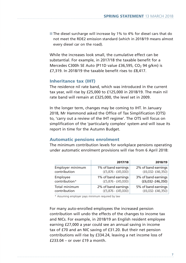■ The diesel surcharge will increase by 1% to 4% for diesel cars that do not meet the RDE2 emission standard (which in 2018/19 means almost every diesel car on the road).

While the increases look small, the cumulative effect can be substantial. For example, in 2017/18 the taxable benefit for a Mercedes C300h SE Auto (P11D value £36,595, CO<sub>2</sub> 94 g/km) is £7,319. In 2018/19 the taxable benefit rises to £8,417.

#### Inheritance tax (IHT)

The residence nil rate band, which was introduced in the current tax year, will rise by £25,000 to £125,000 in 2018/19. The main nil rate band will remain at £325,000, the level set in 2009.

In the longer term, changes may be coming to IHT. In January 2018, Mr Hammond asked the Office of Tax Simplification (OTS) to, 'carry out a review of the IHT regime'. The OTS will focus on simplification of the 'particularly complex' system and will issue its report in time for the Autumn Budget.

#### Automatic pensions enrolment

The minimum contribution levels for workplace pensions operating under automatic enrolment provisions will rise from 6 April 2018:

|                  | 2017/18              | 2018/19              |
|------------------|----------------------|----------------------|
| Employer minimum | 1% of band earnings  | 2% of band earnings  |
| contribution     | $(f5,876 - f45,000)$ | $(f6,032 - f46,350)$ |
| Employee         | 1% of band earnings  | 3% of band earnings  |
| contribution*    | $(f5,876 - f45,000)$ | $(E6,032 - E46,350)$ |
| Total minimum    | 2% of band earnings  | 5% of band earnings  |
| contribution     | $(f5,876 - f45,000)$ | $(f6,032 - f46,350)$ |

\* Assuming employer pays minimum required by law

For many auto-enrolled employees the increased pension contribution will undo the effects of the changes to income tax and NICs. For example, in 2018/19 an English resident employee earning £27,000 a year could see an annual saving in income tax of £70 and an NIC saving of £31.20. But their net pension contributions will rise by £334.24, leaving a net income loss of  $f$ 233.04 – or over  $f$ 19 a month.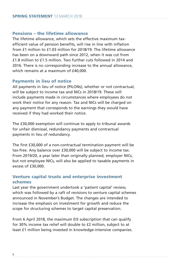## Pensions – the lifetime allowance

The lifetime allowance, which sets the effective maximum taxefficient value of pension benefits, will rise in line with inflation from £1 million to £1.03 million for 2018/19. The lifetime allowance has been on a downward path since 2012, when it was cut from £1.8 million to £1.5 million. Two further cuts followed in 2014 and 2016. There is no corresponding increase to the annual allowance, which remains at a maximum of £40,000.

#### Payments in lieu of notice

All payments in lieu of notice (PILONs), whether or not contractual, will be subject to income tax and NICs in 2018/19. These will include payments made in circumstances where employees do not work their notice for any reason. Tax and NICs will be charged on any payment that corresponds to the earnings they would have received if they had worked their notice.

The £30,000 exemption will continue to apply to tribunal awards for unfair dismissal, redundancy payments and contractual payments in lieu of redundancy.

The first £30,000 of a non-contractual termination payment will be tax-free. Any balance over £30,000 will be subject to income tax. From 2019/20, a year later than originally planned, employer NICs, but not employee NICs, will also be applied to taxable payments in excess of £30,000.

## Venture capital trusts and enterprise investment schemes

Last year the government undertook a 'patient capital' review, which was followed by a raft of revisions to venture capital schemes announced in November's Budget. The changes are intended to increase the emphasis on investment for growth and reduce the scope for structuring schemes to target capital preservation.

From 6 April 2018, the maximum EIS subscription that can qualify for 30% income tax relief will double to £2 million, subject to at least £1 million being invested in knowledge-intensive companies.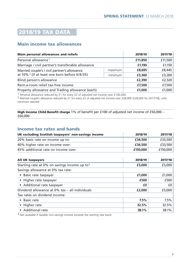# 2018/19 TAX DATA

# Main income tax allowances

| <b>Main personal allowances and reliefs</b>                                                     |         | 2018/19 | 2017/18 |
|-------------------------------------------------------------------------------------------------|---------|---------|---------|
| Personal allowance <sup>1</sup>                                                                 |         | £11,850 | £11,500 |
| Marriage / civil partner's transferable allowance                                               |         | £1,190  | £1,150  |
| Married couple's / civil partner's allowance<br>at 10% $2$ (if at least one born before 6/4/35) | maximum | £8,695  | £8,445  |
|                                                                                                 | minimum | £3,360  | £3,260  |
| Blind person's allowance                                                                        |         | £2,390  | £2,320  |
| Rent-a-room relief tax-free income                                                              |         | £7,500  | £7,500  |
| Property allowance and Trading allowance (each)                                                 |         | £1,000  | £1,000  |

1 Personal allowance reduced by £1 for every £2 of adjusted net income over £100,000 2 Married couple's allowance reduced by £1 for every £2 of adjusted net income over £28,900 (£28,000 for 2017/18), until minimum reached

High Income Child Benefit charge 1% of benefit per £100 of adjusted net income of £50,000 – £60,000

#### Income tax rates and bands

| UK excluding Scottish taxpayers' non-savings income | 2018/19  | 2017/18  |
|-----------------------------------------------------|----------|----------|
| 20% basic rate on income up to:                     | £34.500  | £33,500  |
| 40% higher rate on income over:                     | £34.500  | £33,500  |
| 45% additional rate on income over:                 | £150.000 | £150,000 |

| <b>All UK taxpayers</b>                         | 2018/19 | 2017/18 |
|-------------------------------------------------|---------|---------|
| Starting rate at 0% on savings income up to $3$ | £5,000  | £5,000  |
| Savings allowance at 0% tax rate:               |         |         |
| • Basic rate taxpayer                           | £1,000  | £1,000  |
| • Higher rate taxpayer                          | £500    | £500    |
| • Additional rate taxpayer                      | £0      | f(0)    |
| Dividend allowance at 0% tax - all individuals  | £2,000  | £5,000  |
| Tax rates on dividend income:                   |         |         |
| • Basic rate                                    | 7.5%    | 7.5%    |
| • Higher rate                                   | 32.5%   | 32.5%   |
| • Additional rate                               | 38.1%   | 38.1%   |

<sup>3</sup> Not available if taxable non-savings income exceeds the starting rate band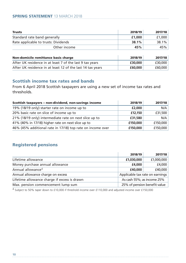# **SPRING STATEMENT** 13 MARCH 2018

| <b>Trusts</b>                        | 2018/19  | 2017/18  |
|--------------------------------------|----------|----------|
| Standard rate band generally         | £1,000   | £1,000   |
| Rate applicable to trusts: Dividends | $38.1\%$ | $38.1\%$ |
| Other income                         | 45%      | 45%      |

| Non-domicile remittance basis charge                       | 2018/19 | 2017/18 |
|------------------------------------------------------------|---------|---------|
| After UK residence in at least 7 of the last 9 tax years   | £30,000 | £30,000 |
| After UK residence in at least 12 of the last 14 tax years | £60,000 | £60,000 |

## Scottish income tax rates and bands

From 6 April 2018 Scottish taxpayers are using a new set of income tax rates and thresholds.

| Scottish taxpayers - non-dividend, non-savings income      | 2018/19  | 2017/18  |
|------------------------------------------------------------|----------|----------|
| 19% (18/19 only) starter rate on income up to              | £2,000   | N/A      |
| 20% basic rate on slice of income up to                    | £12,150  | £31,500  |
| 21% (18/19 only) intermediate rate on next slice up to     | £31,580  | N/A      |
| 41% (40% in 17/18) higher rate on next slice up to         | £150,000 | £150,000 |
| 46% (45% additional rate in 17/18) top rate on income over | £150,000 | £150,000 |

## Registered pensions

|                                              | 2018/19                         | 2017/18    |
|----------------------------------------------|---------------------------------|------------|
| Lifetime allowance                           | £1,030,000                      | £1,000,000 |
| Money purchase annual allowance              | £4,000                          | £4,000     |
| Annual allowance <sup>4</sup>                | £40,000                         | £40,000    |
| Annual allowance charge on excess            | Applicable tax rate on earnings |            |
| Lifetime allowance charge if excess is drawn | As cash 55%; as income 25%      |            |
| Max. pension commencement lump sum           | 25% of pension benefit value    |            |

4 Subject to 50% taper down to £10,000 if threshold income over £110,000 and adjusted income over £150,000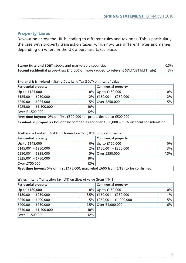## Property taxes

Devolution across the UK is leading to different rules and tax rates. This is particularly the case with property transaction taxes, which now use different rates and names depending on where in the UK a purchase takes place.

| <b>Stamp Duty and SDRT:</b> stocks and marketable securities                          |    |
|---------------------------------------------------------------------------------------|----|
| Second residential properties: £40,000 or more (added to relevant SDLT/LBTT/LTT rate) | 3% |

England & N Ireland – Stamp Duty Land Tax (SDLT) on slices of value

| <b>Residential property</b>                                                                      |     | <b>Commercial property</b>  |       |  |
|--------------------------------------------------------------------------------------------------|-----|-----------------------------|-------|--|
| Up to £125,000                                                                                   |     | 0% Up to £150,000           | $0\%$ |  |
| £125,001 - £250,000                                                                              |     | $2\%$   £150,001 - £250,000 | 2%    |  |
| £250,001 - £925,000                                                                              |     | 5% Over £250,000            | 5%    |  |
| £925,001 - £1,500,000                                                                            | 10% |                             |       |  |
| 12%<br>Over £1,500,000                                                                           |     |                             |       |  |
| <b>First-time buyers:</b> 0% on first £300,000 for properties up to £500,000                     |     |                             |       |  |
| <b>Residential properties</b> bought by companies etc over £500,000 – 15% on total consideration |     |                             |       |  |

#### Scotland – Land and Buildings Transaction Tax (LBTT) on slices of value

| <b>Residential property</b>                                                                 |     | <b>Commercial property</b>  |       |
|---------------------------------------------------------------------------------------------|-----|-----------------------------|-------|
| Up to £145,000                                                                              |     | 0% Up to £150,000           | $0\%$ |
| £145,001 - £250,000                                                                         |     | $2\%$   £150,001 - £350,000 | 3%    |
| £250,001 - £325,000                                                                         |     | 5% Over £350,000            | 4.5%  |
| £325,001 - £750,000                                                                         | 10% |                             |       |
| Over £750,000                                                                               | 12% |                             |       |
| <b>First-time buyers:</b> 0% on first £175,000: max relief £600 from 6/18 (to be confirmed) |     |                             |       |

| Wales - Land Transaction Tax (LTT) on slices of value (from 1/4/18) |  |  |  |
|---------------------------------------------------------------------|--|--|--|
|---------------------------------------------------------------------|--|--|--|

| <b>Residential property</b> |     | <b>Commercial property</b>    |       |  |
|-----------------------------|-----|-------------------------------|-------|--|
| Up to £180,000              |     | 0% Up to £150,000             | $0\%$ |  |
| £180,001 - £250,000         |     | $3.5\%$   £150,001 - £250,000 | $1\%$ |  |
| £250,001 - £400,000         |     | $5\%$   £250,001 - £1,000,000 | 5%    |  |
| £400,001 - £750,000         |     | 7.5% Over £1,000,000          | 6%    |  |
| £750,001 - £1,500,000       | 10% |                               |       |  |
| Over £1,500,000             | 12% |                               |       |  |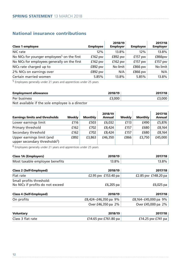# National insurance contributions

| <b>Class 1 employee</b>                                 | <b>Employee</b> | 2018/19<br><b>Employer</b> | <b>Employee</b> | 2017/18<br><b>Employer</b> |
|---------------------------------------------------------|-----------------|----------------------------|-----------------|----------------------------|
| NIC rate                                                | 12%             | 13.8%                      | 12%             | 13.8%                      |
| No NICs for younger employees <sup>5</sup> on the first | $£162$ pw       | $£892$ pw                  | $£157$ pw       | £866pw                     |
| No NICs for employees generally on the first            | $£162$ pw       | $£162$ pw                  | $£157$ pw       | £157 pw                    |
| NICs rate charged up to                                 | £892 pw         | No limit                   | $£866$ pw       | No limit                   |
| 2% NICs on earnings over                                | £892 pw         | N/A                        | £866 pw         | N/A                        |
| Certain married women                                   | 5.85%           | 13.8%                      | 5.85%           | $13.8\%$                   |

<sup>5</sup> Employees generally under 21 years and apprentices under 25 years

| <b>Employment allowance</b>                      | 2018/19 | 2017/18 |
|--------------------------------------------------|---------|---------|
| Per business                                     | £3,000  | £3,000  |
| Not available if the sole employee is a director |         |         |

| <b>Earnings limits and thresholds</b>                                  | Weekly | <b>Monthly</b> | 2018/19<br>Annual | Weekly | <b>Monthly</b> | 2017/18<br>Annual |
|------------------------------------------------------------------------|--------|----------------|-------------------|--------|----------------|-------------------|
| Lower earnings limit                                                   | £116   | £503           | £6,032            | £113   | £490           | £5,876            |
| Primary threshold                                                      | £162   | £702           | £8,424            | £157   | £680           | £8.164            |
| Secondary threshold                                                    | £162   | £702           | £8,424            | £157   | £680           | £8.164            |
| Upper earnings limit (and<br>upper secondary thresholds <sup>6</sup> ) | £892   | £3,863         | £46,350           | £866   | £3.750         | £45,000           |

6 Employees generally under 21 years and apprentices under 25 years

| <b>Class 1A (Employers)</b>    | 2018/19  | 2017/18  |
|--------------------------------|----------|----------|
| Most taxable employee benefits | $13.8\%$ | $13.8\%$ |

| <b>Class 2 (Self-Employed)</b>   | 2018/19             | 2017/18             |
|----------------------------------|---------------------|---------------------|
| Flat rate                        | £2.95 pw £153.40 pa | £2.85 pw £148.20 pa |
| Small profits threshold:         |                     |                     |
| No NICs if profits do not exceed | £6,205 pa           | $£6,025$ pa         |

| <b>Class 4 (Self-Employed)</b> | 2018/19                 | 2017/18                 |
|--------------------------------|-------------------------|-------------------------|
| On profits                     | £8,424-£46,350 pa $9\%$ | £8,164-£45,000 pa $9\%$ |
|                                | Over £46,350 pa 2%      | Over £45,000 pa 2%      |
|                                |                         |                         |

| <b>Voluntary</b>  | 2018/19              | 2017/18           |
|-------------------|----------------------|-------------------|
| Class 3 flat rate | £14.65 pw £761.80 pa | £14.25 pw £741 pa |